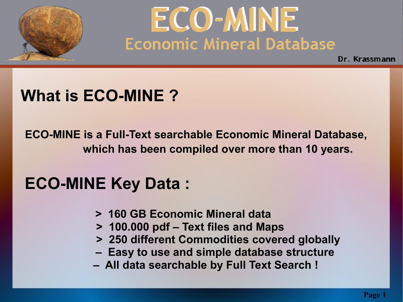

Dr. Krassmann

#### **What is ECO-MINE ?**

**ECO-MINE is a Full-Text searchable Economic Mineral Database, which has been compiled over more than 10 years.**

### **ECO-MINE Key Data :**

- **> 160 GB Economic Mineral data**
- **> 100.000 pdf Text files and Maps**
- **> 250 different Commodities covered globally**
- **Easy to use and simple database structure**
- **All data searchable by Full Text Search !**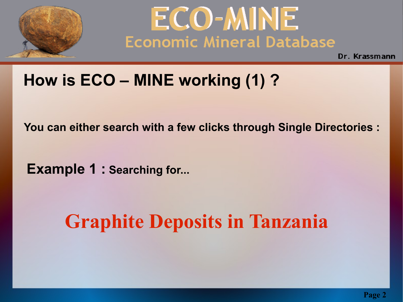



### **How is ECO – MINE working (1) ?**

 **You can either search with a few clicks through Single Directories :**

 **Example 1 : Searching for...**

## **Graphite Deposits in Tanzania**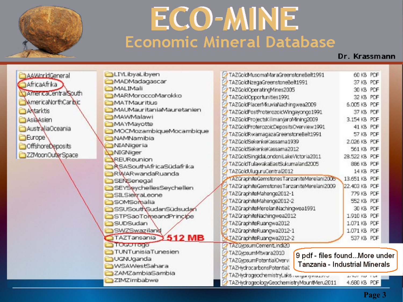

#### Dr. Krassmann

AAMhridGeneral AfricaAfrika AmericaCentralSouth **MamericaNorthCaribic** Antarktis AsiaAsien AustraliaOceania **Europe OffshoreDeposits** ZZMoonOuterSpace

| <b>OLIYLibyaLibyen</b>         | TAZGoldMusomaMaraGreenstoneBelt1991                                                                                      | 60 KB PDF     |  |
|--------------------------------|--------------------------------------------------------------------------------------------------------------------------|---------------|--|
| MADMadagascar                  | TAZGoldNzegaGreenstoneBelt1991                                                                                           | 37 KB PDF     |  |
| MALIMali                       | TAZGoldOperatingMines2005                                                                                                | 30 KB PDF     |  |
| MARMoroccoMarokko              | TAZGoldOpportunities1991                                                                                                 | 32 KB PDF     |  |
| MATMauritius                   | TAZGoldPlacerMouviaNachingwea2009                                                                                        | 6.005 KB PDF  |  |
| MAUMauritaniaMauretanien       | TAZGoldPostProterozoicWingsyongo1991                                                                                     | 37 KB PDF     |  |
| MAWMalawi                      | TAZGoldProjectsKillimanjaroMining2009                                                                                    | 3.154 KB PDF  |  |
| MAYMayotte                     | TAZGoldProterozoidDepositsOverview1991                                                                                   | 41 KB PDF     |  |
| MOCMozambiqueMocambique        | TAZGoldRwamagazaGreenstoneBelt1991                                                                                       | 57 KB PDF     |  |
| NAMNamibia                     | TAZGoldSekenkeKassama1939                                                                                                | 2.026 KB PDF  |  |
| NIANigeria                     | TAZGoldSekenkeKassama2012                                                                                                | 561 KB PDF    |  |
| <b>NIGNiger</b>                | TAZGoldSingidaLondoniLakeVictoria2011                                                                                    | 28.522 KB PDF |  |
| REUReunion                     | TAZGoldTulawakaEastSukumaland2005                                                                                        | SS6 KB PDF    |  |
| <b>RSASouthAfricaSüdafrika</b> |                                                                                                                          |               |  |
| RWARwandaRuanda                | TAZGoldUluguruCentral2012                                                                                                | 14 KB PDF     |  |
| SENSenegal                     | 1AZGraphiteGemstonesTanzaniteMerelani2006                                                                                | 13.651 KB PDF |  |
| SEYSeychellesSeychellen        | TAZGraphiteGemstonesTanzaniteMerelani2009                                                                                | 22,403 KB PDF |  |
| SILSierraLeone                 | TAZGraphiteMahenge2012-1                                                                                                 | 779 KB PDF    |  |
| SOMSomalia                     | TAZGraphiteMahenge2012-2                                                                                                 | 552 KB PDF    |  |
| SSUSouthSudanSüdsuda           | TAZGraphiteMerelaniNachingwea1991                                                                                        | 30 KB PDF     |  |
| STPSaoTomeandPrincipe          | TAZGraphiteNachingwea2012                                                                                                | 1,910 KB PDF  |  |
| SUDSudan                       | TAZGraphiteRuangwa2012                                                                                                   | 1.071 KB PDF  |  |
| <b>SWZSwaziland</b>            | TAZGraphiteRuangwa2012-1                                                                                                 | 1.071 KB PDF  |  |
| 512 MB<br>TAZTansania          | NLTAZGraphiteRuangwa2012-2                                                                                               | 537 KB PDF    |  |
| <b>Management</b>              | 1AZGypsumCementLindi20                                                                                                   |               |  |
| TUNTunisiaTunesien             | TAZGypsumMtwara2010                                                                                                      |               |  |
| UGNUganda                      | 9 pdf - files foundMore under<br>TAZGypsumPotentialOvervi<br>Tanzania - Industrial Minerals<br>TAZHydrocarbonsPotential, |               |  |
| WSAWestSahara                  |                                                                                                                          |               |  |
| ZAMZambiaSambia                |                                                                                                                          |               |  |
| ZIMZimbabwe                    | TAZHydrogeochemistryLaks rangany nauzza-                                                                                 | ALCOHOL: NEW  |  |
|                                | TAZHydrogeologyGeochemistryMountMeru2011                                                                                 | 4.680 KB PDF  |  |

 **Page 3**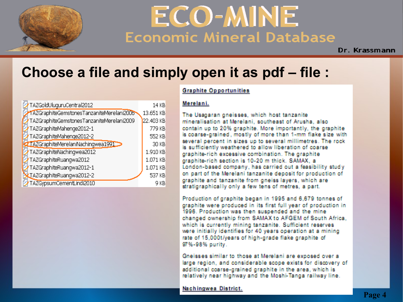

Dr. Krassmann

#### **Choose a file and simply open it as pdf – file :**

| 77TAZGoldUluguruCentral2012               | 14 KB     |
|-------------------------------------------|-----------|
| 1AZGraphiteGemstonesTanzaniteMerelani2006 | 13.651 KB |
| TAZGraphiteGemstonesTanzaniteMerelani2009 | 22.403 KB |
| TAZGraphiteMahenge2012-1                  | 779 KB    |
| TAZGraphiteMahenge2012-2                  | 552 KB    |
| TAZGraphiteMerelaniNachingwea1991         | 30 KB     |
| TAZGraphiteNachingwea2012                 | 1.910 KB  |
| TAZGraphiteRuangwa2012                    | 1.071 KB  |
| TAZGraphiteRuangwa2012-1                  | 1.071 KB  |
| XTAZGraphiteRuangwa2012-2                 | 537 KB    |
| TAZGypsumCementLindi2010                  | 9 KP      |

#### **Graphite Opportunities**

#### Merelani.

The Usagaran gneisses, which host tanzanite mineralisation at Merelani, southeast of Arusha, also contain up to 20% graphite. More importantly, the graphite is coarse-grained, mostly of more than 1-mm flake size with several percent in sizes up to several millimetres. The rock is sufficiently weathered to allow liberation of coarse graphite-rich excessive combination. The graphite graphite-rich section is 10-20 m thick. SAMAX, a London-based company, has carried out a feasibility study on part of the Merelani tanzanite deposit for production of graphite and tanzanite from gneiss layers, which are stratigraphically only a few tens of metres, a part.

Production of graphite began in 1995 and 6,679 tonnes of graphite were produced in its first full year of production in 1996. Production was then suspended and the mine changed ownership from SAMAX to AFGEM of South Africa. which is currently mining tanzanite. Sufficient reserves were initially identifies for 40 years operation at a mining rate of 15,000t/years of high-grade flake graphite of 97%-98% purity.

Gneisses similar to those at Merelani are exposed over a large region, and considerable scope exists for discovery of additional coarse-grained graphite in the area, which is relatively near highway and the Moshi-Tanga railway line.

#### Nachingwea District.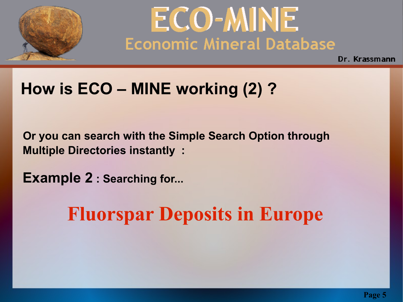

Dr. Krassmann

## **How is ECO – MINE working (2) ?**

 **Or you can search with the Simple Search Option through Multiple Directories instantly :**

 **Example 2 : Searching for...** 

## **Fluorspar Deposits in Europe**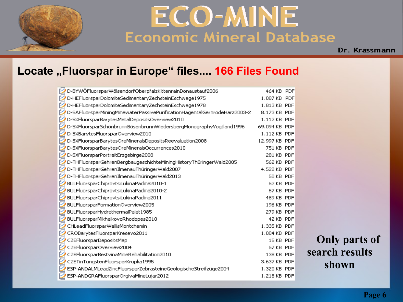

Dr. Krassmann

#### **Locate "Fluorspar in Europe" files.... 166 Files Found**

|   | D-BYWÖFluorsparWölsendorfOberpfalzKittenrainDonaustauf2006                | 464 KB PDF    |  |
|---|---------------------------------------------------------------------------|---------------|--|
|   | D-HEFluorsparDolomiteSedimentaryZechsteinEschwege1975                     | 1.087 KB PDF  |  |
|   | D-HEFluorsparDolomiteSedimentaryZechsteinEschwege1978                     | 1.813 KB PDF  |  |
|   | D-SAFluorsparMiningMinewaterPassivePurificationHagentalGernrodeHarz2003-2 | 8.173 KB PDF  |  |
|   | D-SXFluorsparBarytesMetalDepositsOverview2010                             | 1.112 KB PDF  |  |
|   | D-SXFluorsparSchönbrunnBösenbrunnWiedersbergMonographyVogtland1996        | 69.094 KB PDF |  |
|   | D-SXBarytesFluorsparOverview2010                                          | 1.112 KB PDF  |  |
|   | D-SXFluorsparBarytesOreMineralsDepositsReevaluation2008                   | 12.997 KB PDF |  |
| P | D-SXFluorsparBarytesOreMineralsOccurrences2010                            | 751 KB PDF    |  |
|   | D-SXFluorsparPortraitErzgebirge2008                                       | 281 KB PDF    |  |
|   | D-THFluorsparGehrenBergbaugeschichteMiningHistoryThüringerWald2005        | 562 KB PDF    |  |
|   | D-THFluorsparGehrenIlmenauThüringerWald2007                               | 4.522 KB PDF  |  |
|   | D-THFluorsparGehrenIlmenauThüringerWald2013                               | 50 KB PDF     |  |
|   | BULFluorsparChiprovtsiLukinaPadina2010-1                                  | 52 KB PDF     |  |
|   | BULFluorsparChiprovtsiLukinaPadina2010-2                                  | 57 KB PDF     |  |
|   | BULFluorsparChiprovtsiLukinaPadina2011                                    | 489 KB PDF    |  |
|   | BULFluorsparFormationOverview2005                                         | 196 KB PDF    |  |
|   | BULFluorsparHydrothermalPalat1985                                         | 279 KB PDF    |  |
|   | BULFluorsparMikhalkovoRhodopes2010                                        | 42 KB PDF     |  |
|   | CHLeadFluorsparWallisMontchemin                                           | 1.335 KB PDF  |  |
|   | CROBarytesFluorsparKresevo2011                                            | 1.004 KB PDF  |  |
|   | CZEFluorsparDepositsMap                                                   | 15 KB PDF     |  |
|   | CZEFluorsparOverview2004                                                  | 57 KB PDF     |  |
|   | CZEFluorsparBestvinaMineRehabilitation2010                                | 138 KB PDF    |  |
|   | CZETinTungstenFluorsparKrupka1995                                         | 3.637 KB PDF  |  |
|   | ESP-ANDALMLeadZincFluorsparZebrasteineGeologischeStreifzüge2004           | 1.320 KB PDF  |  |
|   | ESP-ANDGRAFluorsparOrgivaMineLujar2012                                    | 1.218 KB PDF  |  |

 **Only parts of search results shown**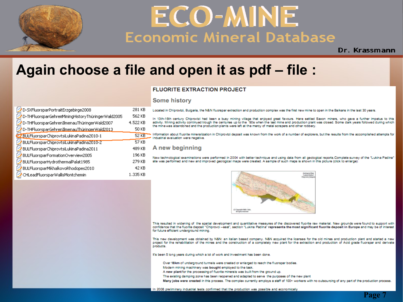

Dr. Krassmann

 **Page 7**

#### **Again choose a file and open it as pdf – file :**

#### **FLUORITE EXTRACTION PROJECT**

#### **Some history**

| D-SXFluorsparPortraitErzgebirge2008               | 281 KB   | Located in Chi                     |  |
|---------------------------------------------------|----------|------------------------------------|--|
| D-THFluorsparGehrenMiningHistoryThüringerWald2005 | 562 KB   | 13th-16th c<br>In                  |  |
| D-THFluorsparGehrenIlmenauThüringerWald2007       | 4.522 KB | activity. Mining<br>the mine was a |  |
| D-THFluorsparGehrenIlmenauThüringerWald2013       | 50 KB    |                                    |  |
| BULFluorsparChiprovtsiLukinaPadina2010-1          | $52$ KB  | Information ab<br>industrial evalu |  |
| BULFluorsparChiprovtsiLukinaPadina2010-2          | 57 KB    |                                    |  |
| BULFluorsparChiprovtsiLukinaPadina2011            | 489 KB   | A new b                            |  |
| BULFluorsparFormationOverview2005                 | 196 KB   | New technolog                      |  |
| BULFluorsparHydrothermalPalat1985                 | 279 KB   | site was perfor                    |  |
| BULFluorsparMikhalkovoRhodopes2010                | 42 KB    |                                    |  |
| CHLeadFluorsparWallisMontchemin                   | 1.335 KB |                                    |  |
|                                                   |          |                                    |  |

iprovizi, Bulgaria, the N&N fluorspar extraction and production complex was the first new mine to open in the Balkans in the last 30 years.

tentury Chiprovizi had been a busy mining village that enjoyed great favours. Here settled Saxon miners, who gave a further impetus to this activity continued trough the centuries up to the '90s when the last mine and production plant was closed. Some dark years followed during which abandoned and the production plants were left at the mercy of metal scrapers and other robbery.

out fluorite mineralization in Chiprovtzi deposit was known from the work of a number of explorers, but the results from the accomplished attempts for uation were negative.

#### beginning

gical examinations were performed in 2004 with better technique and using data from all geological reports.Complete survey of the "Lukina Padina" rmed and new and improved geological maps were created. A sample of such maps is shown in this picture (click to enlarge):



This resulted in widening of the spatial development and quantitative measures of the discovered fluorite raw material. New grounds were found to support with confidence that the fluorite deposit "Chiprovci -east", section "Lukina Padina" represents the most significant fluorite deposit in Europe and may be of interest for future efficient underground mining.

This new development was obtained by N&N: an italian based company. N&N acquired the licenses for the old mines and production plant and started a new project for the rehabilitation of the mines and the construction of a completely new plant for the extraction and production of Acid grade fluorspar and derivate products.

It's been 5 long years during which a lot of work and investment has been done.

Over 18km of underground tunnels were created or enlarged to reach the fluorspar bodies.

Modern mining machinery was bought employed to the task

A new plant for the processing of fluorite minerals was built from the ground up.

The existing damping zone has been reopened and adapted to serve the purposes of the new plant

Many jobs were created in this process. The complex currently employs a staff of 100+ workers with no outsourcing of any part of the production process.

In 2008 preliminary industrial tests confirmed that the production was possible and economically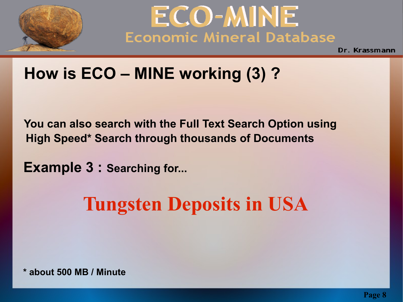



### **How is ECO – MINE working (3) ?**

 **You can also search with the Full Text Search Option using High Speed\* Search through thousands of Documents** 

 **Example 3 : Searching for...**

## **Tungsten Deposits in USA**

 **\* about 500 MB / Minute**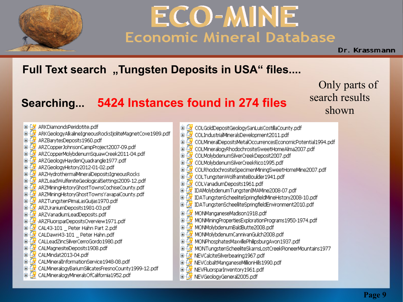

Dr. Krassmann

#### **Full Text search** "Tungsten Deposits in USA" files....

#### **Searching... 5424 Instances found in 274 files**

Only parts of search results shown

- ARKDiamondsPeridotite.pdf  $\blacksquare$ Ė. G ARKGeologyAlkalineIgneousRocksIjoliteMagnetCove1989.pdf Ė ß ARZBarytesDeposits1960.pdf 由 ARZCopperJohnsonCampProject2007-09.pdf ARZCopperMolvbdenumSquawCreek2011-04.pdf 由 ARZGeologyHaydenOuadrangle1977.pdf 由 э ARZGeologyHistory2012-01-02.pdf Ė ARZHvdrothermalMineralDepositsIgneousRocks 由 ARZLeadWulfeniteGeologicalSettings2009-12.pdf 由 э Ė ARZMiningHistoryGhostTownsCochiseCounty.pdf э Ė ARZMiningHistoryGhostTownsYavapaiCounty.pdf ARZTungstenPimaLasGuijas1970.pdf Ė ARZUraniumDeposits1981-03.pdf 直 э ARZVanadiumLeadDeposits.pdf Ò -ARZFluorsparDepositsOverview1971.pdf 由 CAL43-101 Peter Hahn Part 2.pdf Ė CALDawri43-101 \_ Peter Hahn.pdf Ė CALLeadZincSilverCerroGordo1980.pdf Ė CALMagnesiteDeposits1908.pdf Ė э 由 Э CALMindat2013-04.pdf<br>CALMineralInformationService1948-08.pdf Ė B CALMineralogyBariumSilicatesFresnoCounty1999-12.pdf<br>CALMineralogyMineralsOfCalifornia1952.pdf в Đ 彦
- D D COLGoldDepositGeologySanLuisCostillaCounty.pdf 亩 COLIndustrialMineralsDevelopment2011.pdf ß COLMineralDepositsMetalOccurrencesEconomicPotential1994.pdf Ė Ė COLMineralogyRhodochrositeSweetHomeAlma2007.pdf 亩 COLMolybdenumSilverCreekDeposit2007.pdf COLMolybdenumSilverCreekRico1995.pdf 宙 э COLRhodochrositeSpecimenMiningSweetHomeMine2007.pdf Ė ò COLTungstenWolframiteBoulder1941.pdf з Ė COLVanadiumDeposits1961.pdf в É IDAMolybdenumTungstenIMAMine2008-07.pdf Ò IDATungstenScheeliteSpringfieldMineHistory2008-10.pdf э IDATungstenScheelliteSpringfieldEnvironment2010.pdf 直 5 MONManganeseMadison1918.pdf Ė 亩 MONMiningPropertiesExplorationPrograms1950-1974.pdf в MONMolybdenumBaldButte2008.pdf 由 В MONMolybdenumCannivanGulch2008.pdf 由 З MONPhosphatesMaxvillePhilipsburgAvon1937.pdf Ė в MONTungstenScheeliteSkarnsLostCreekPioneerMountains1977 Ė B 面 [3 NEVCalciteSilverbearing1967.pdf Ġ NEVCobaltManganeseMillionHills1990.pdf NEVFluorsparInventory1961.pdf ė Э NEVGeologyGeneral2005.pdf Ė. Ы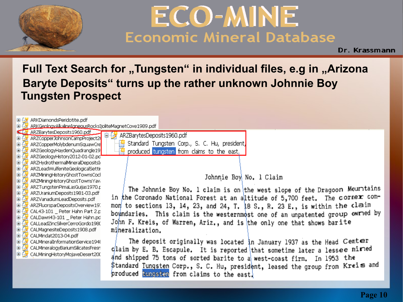

Dr. Krassmann

#### **Full Text Search for "Tungsten" in individual files, e.g in "Arizona Baryte Deposits" turns up the rather unknown Johnnie Boy Tungsten Prospect**

ARKDiamondsPeridotite.pdf 日 ダ

ARKGenIngvAlkalineTgneousRocksTioliteMagnetCove1989.pdf

44 S ARZBarvtesDeposits1960.pdf ARZCopperJohnsonCampProject20 由

亩 ARZCopperMolybdenumSquawCre

亩 ARZGeologyHavdenOuadrangle19 由

ARZGeologyHistory2012-01-02.pd ங் B ARZHydrothermalMineralDepositsIo

由 ARZLeadWulfeniteGeologicalSettir

亩 ARZMiningHistoryGhostTownsCock B

由 多 ARZMiningHistoryGhostTownsYava Ė. ARZTungstenPimaLasGuijas1970.p

由 ARZUraniumDeposits1981-03.pdf 由 ARZVanadiumLeadDeposits.pdf 面 多 ARZFluorsparDepositsOverview197 Ėŀ CAL43-101 Peter Hahn Part 2.p

CALDawri43-101 \_ Peter Hahn.pd Ġ. Ėŀ CALLeadZincSilverCerroGordo1980

面 S CALMagnesiteDeposits1908.pdf le (S) CALMindat2013-04.pdf

Ėŀ CALMineralInformationService194{<br>CALMineralogyBariumSilicatesFresn r sf

Ėŀ Э

面传 CALMiningHistoryMojaveDesert200 白<sup>[33</sup>] ARZBarytesDeposits1960.pdf -<mark>|蘇</mark> Standard Tungsten Corp., S. C. Hu, president,

produced tungsten from claims to the east,

Johnnie Boy No. 1 Claim

The Johnnie Boy No. 1 claim is on the west slope of the Dragoon Mouritains<br>in the Coronado National Forest at an altitude of 5,700 feet. The corner common to sections 13, 14, 23, and 24, T. 18 S., R. 23 E., is within the claim boundaries. This claim is the westernmost one of an unpatented group owned by John F. Kreis, of Warren, Ariz., and is the only one that shows barite mineralization.

The deposit originally was located in January 1937 as the Head Center claim by E. B. Escapule. It is reported that sometime later a lessee miried and shipped 75 tons of sorted barite to a west-coast firm. In 1953 the \$tandard Tungsten Corp., S. C. Hu, president, leased the group from Kreis and produced two esten from claims to the east.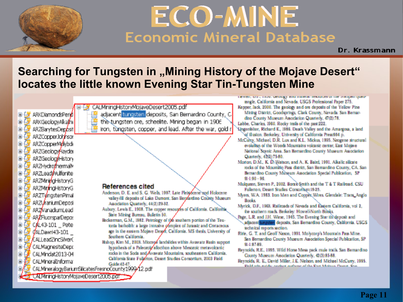

Dr. Krassmann

#### **Searching for Tungsten in "Mining History of the Mojave Desert" locates the little known Evening Star Tin-Tungsten Mine**

ARKDiamondsPerid i p ARKGeologyAkalm Ė ARZBarytesDen*bsit* 宙 ARZCopperJohnson Ŧ.  ARZCopperMolybds Ė ARZGeologyHayder Ė ARZGeologyHistory Ŧ ARZHydrothermal<sup>y</sup> Ġ ARZLeadWulfenite Ŧ, ARZMiningHistoryG 庙 ARZMIningHistoryG ARZTungstenPimal 南 ARZUraniumDeposi ARZVanadumLead ARZFluorsparDepo: CAL43-101 Pete d/ALDawri43-101<br>CALLeadZincSilver( 庄 CALMagnesiteDepr<br>CALMindat2013-04 ī, ū Ĥ

CALMiningHistoryMolaveDesert2005.pdf

adiacent tungsten deposits. San Bernardino County, C. the tungsten gre. scheelite. Mining began in 1906 iron, tungsten, copper, and lead. After the war, gold r

#### **References cited**

- Anderson, D. E. and S. G. Wells, 1997. Late Pleis forene and Holocene valley fill deposits of Lake Dumont. San Bernardino County Museum
- 
- Association Quarterly, 44(2):29-32.<br>Aubury, Lewis E., 1908. The copper resources of California. California.<br>State Mining Bureau. Bulletin 50.<br>Bockerman, G.M., 1982. Petrology of the southern portion of the Teuterland batho sge in the eastern Mojave Despft, California. MS thesis, University of<br>Southern California. Backerman, G.M., 1982. Petrology of the southern portion of the Teu-
- Bshop, Kim M., 2003. Miccene landslides within Avawatz Basin support **hypothesis of a Paleozoig allocthon above Mesozoic metavolcanic<br>rocks in the Soda and Avawatz Mountains, southeastern California.** California State Fullation, Desert Studies Consortium, 2003 Field

LICHTEL, M.C., LOVIE SPORTER WINT HIRROR TOSAULOS SE HIC TRANSISTERINT rangle, California and Nevada, USGS Professional Paper 275.

Kepper, Jack, 2000. The geology and ore deposits of the Yellow Pine Mining District, Goodsprings, Clark County, Nevada, San Bernardino County Museum Association Quarterly, 4/(2):78.

Labbe, Charles, 1960. Rocky trails of the past 222.

Lingenblier, Richard E., 1986. Death Valley and the Amargosa, a land of illusion, Berkeley, University of California Press664 p.

- McCurss, Michael, D.R. Lux and K.L. Mickus, 1995. Nendene structural. evolution of the Woods Mountains volcanic center. East Moiave National Scenic Area, San Bernardino County Museum Association Custerly, 4265175-80.
- Morton, D.M., K. D. Watson, and A. K. Baird, 1991. Alkalic silicate rocks of the Mountain Pass district, San Bernardino County, CA, San Bernardino County Museum Association Special Publication. SP  $91 - 198 - 98$
- Mulaucen, Steven P., 2002. Bora's Smith and the T & T Railroad, CSU Fullerion, Desert Studies Consortium:19-25.
- Myers, W.A. 1983. Iron Men and Copper, Wires. Glendale: Trans, Anglo-**Books**
- Myrick, D.F., 1963. Railmads of Nevada and Eastern California, vol 2, the southern roads. Berkeley: Howell North Books.
- Tage, L.R. and J.H. Wlese, 1945. The Evening Star tin deposit and adiacent tungstan deposits. San Bernardino County, California, USGS technical reports section.
- Rife, G. T. and Geoff Nason, 1991. Molvcorp's Mountain Pass Mine. San Bernardino County Museum Association Special Publication, SP 91-1:87-89
- Reynolds, R.E., 1995. Wild Horse Mesa pack mule trails. San Bernardino County Museum Association Quarterly, 42(3):85-88.
- **Culcular Control**<br>**Below and control click to control of the Control Control Control Control Control Control Control Control Control Control Control Control Control Control Control Control Control Control Control Control**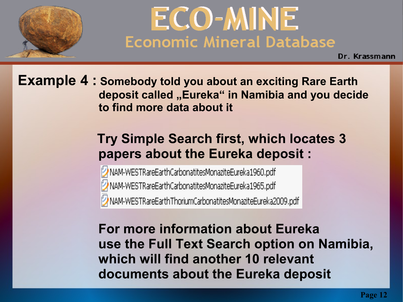

# ECO-MINE<br>Economic Mineral Database

Dr. Krassmann

**Example 4 : Somebody told you about an exciting Rare Earth** deposit called "Eureka" in Namibia and you decide  **to find more data about it** 

#### **Try Simple Search first, which locates 3 papers about the Eureka deposit :**

NAM-WESTRareEarthCarbonatitesMonaziteEureka1960.pdf MAM-WESTRareEarthCarbonatitesMonaziteEureka1965.pdf MAM-WESTRareEarthThoriumCarbonatitesMonaziteEureka2009.pdf

 **For more information about Eureka use the Full Text Search option on Namibia, which will find another 10 relevant documents about the Eureka deposit**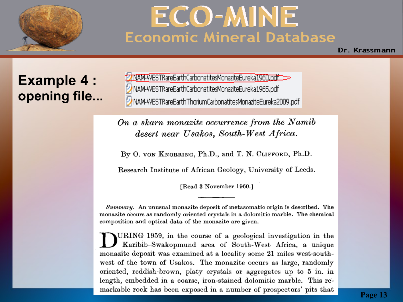

Dr. Krassmann

#### **Example 4 : opening file...**

MAM-WESTRareEarthCarbonatitesMonaziteEureka1965.pdf 2 NAM-WESTRareEarthThoriumCarbonatitesMonaziteEureka2009.pdf

On a skarn monazite occurrence from the Namib desert near Usakos, South-West Africa.

By O. VON KNORRING, Ph.D., and T. N. CLIFFORD, Ph.D.

Research Institute of African Geology, University of Leeds.

[Read 3 November 1960.]

Summary. An unusual monazite deposit of metasomatic origin is described. The monazite occurs as randomly oriented crystals in a dolomitic marble. The chemical composition and optical data of the monazite are given.

URING 1959, in the course of a geological investigation in the Karibib-Swakopmund area of South-West Africa, a unique monazite deposit was examined at a locality some 21 miles west-southwest of the town of Usakos. The monazite occurs as large, randomly oriented, reddish-brown, platy crystals or aggregates up to 5 in. in length, embedded in a coarse, iron-stained dolomitic marble. This re-<br>markable rock has been exposed in a number of prospectors' pits that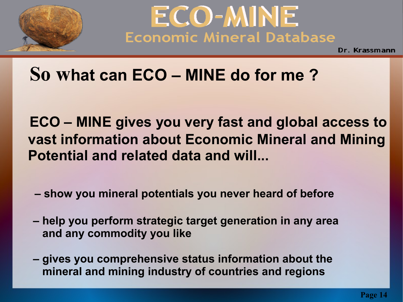



## **So what can ECO – MINE do for me ?**

 **ECO – MINE gives you very fast and global access to vast information about Economic Mineral and Mining Potential and related data and will...** 

- **show you mineral potentials you never heard of before**
- **help you perform strategic target generation in any area and any commodity you like**
- **gives you comprehensive status information about the mineral and mining industry of countries and regions**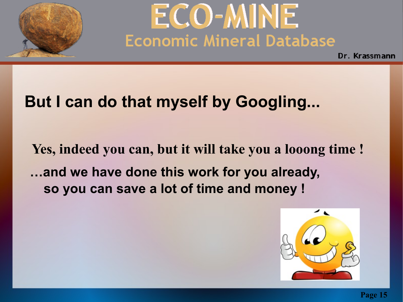

Dr. Krassmann

### **But I can do that myself by Googling...**

 **Yes, indeed you can, but it will take you a looong time ! …and we have done this work for you already, so you can save a lot of time and money !**

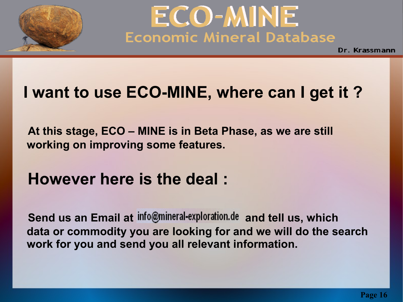



### **I want to use ECO-MINE, where can I get it ?**

 **At this stage, ECO – MINE is in Beta Phase, as we are still working on improving some features.** 

### **However here is the deal :**

**Send us an Email at info@mineral-exploration.de and tell us, which data or commodity you are looking for and we will do the search work for you and send you all relevant information.**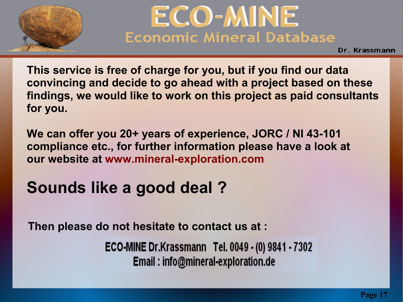



 **This service is free of charge for you, but if you find our data convincing and decide to go ahead with a project based on these findings, we would like to work on this project as paid consultants for you.** 

 **We can offer you 20+ years of experience, JORC / NI 43-101 compliance etc., for further information please have a look at our website at www.mineral-exploration.com**

## **Sounds like a good deal ?**

 **Then please do not hesitate to contact us at :**

ECO-MINE Dr.Krassmann Tel. 0049 - (0) 9841 - 7302 Email: info@mineral-exploration.de